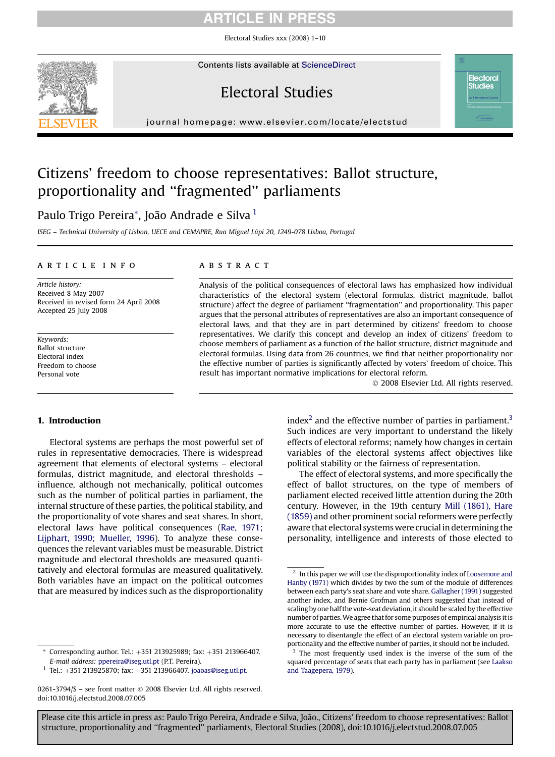# RTICLE IN PRES

Electoral Studies xxx (2008) 1–10



Contents lists available at [ScienceDirect](www.sciencedirect.com/science/journal/02613794)

# Electoral Studies

journal homepage: [www.elsevier.com/locate/electstud](http://www.elsevier.com/locate/electstud)

# Citizens' freedom to choose representatives: Ballot structure, proportionality and ''fragmented'' parliaments

Paulo Trigo Pereira\*, João Andrade e Silva<sup>1</sup>

ISEG - Technical University of Lisbon, UECE and CEMAPRE, Rua Miguel Lúpi 20, 1249-078 Lisboa, Portugal

### article info

Article history: Received 8 May 2007 Received in revised form 24 April 2008 Accepted 25 July 2008

Keywords: Ballot structure Electoral index Freedom to choose Personal vote

### **ABSTRACT**

Analysis of the political consequences of electoral laws has emphasized how individual characteristics of the electoral system (electoral formulas, district magnitude, ballot structure) affect the degree of parliament ''fragmentation'' and proportionality. This paper argues that the personal attributes of representatives are also an important consequence of electoral laws, and that they are in part determined by citizens' freedom to choose representatives. We clarify this concept and develop an index of citizens' freedom to choose members of parliament as a function of the ballot structure, district magnitude and electoral formulas. Using data from 26 countries, we find that neither proportionality nor the effective number of parties is significantly affected by voters' freedom of choice. This result has important normative implications for electoral reform.

- 2008 Elsevier Ltd. All rights reserved.

**Electoral Studies** 

#### 1. Introduction

Electoral systems are perhaps the most powerful set of rules in representative democracies. There is widespread agreement that elements of electoral systems – electoral formulas, district magnitude, and electoral thresholds – influence, although not mechanically, political outcomes such as the number of political parties in parliament, the internal structure of these parties, the political stability, and the proportionality of vote shares and seat shares. In short, electoral laws have political consequences ([Rae, 1971;](#page-9-0) [Lijphart, 1990; Mueller, 1996\)](#page-9-0). To analyze these consequences the relevant variables must be measurable. District magnitude and electoral thresholds are measured quantitatively and electoral formulas are measured qualitatively. Both variables have an impact on the political outcomes that are measured by indices such as the disproportionality

 $*$  Corresponding author. Tel.:  $+351$  213925989; fax:  $+351$  213966407. E-mail address: [ppereira@iseg.utl.pt](mailto:ppereira@iseg.utl.pt) (P.T. Pereira).

 $1$  Tel.: +351 213925870; fax: +351 213966407. [joaoas@iseg.utl.pt](mailto:joaoas@iseg.utl.pt).

0261-3794/\$ – see front matter © 2008 Elsevier Ltd. All rights reserved. doi:10.1016/j.electstud.2008.07.005

index<sup>2</sup> and the effective number of parties in parliament.<sup>3</sup> Such indices are very important to understand the likely effects of electoral reforms; namely how changes in certain variables of the electoral systems affect objectives like political stability or the fairness of representation.

The effect of electoral systems, and more specifically the effect of ballot structures, on the type of members of parliament elected received little attention during the 20th century. However, in the 19th century [Mill \(1861\), Hare](#page-9-0) [\(1859\)](#page-9-0) and other prominent social reformers were perfectly aware that electoral systems were crucial in determining the personality, intelligence and interests of those elected to

 $^{\rm 2}$  In this paper we will use the disproportionality index of [Loosemore and](#page-9-0) [Hanby \(1971\)](#page-9-0) which divides by two the sum of the module of differences between each party's seat share and vote share. [Gallagher \(1991\)](#page-9-0) suggested another index, and Bernie Grofman and others suggested that instead of scaling by one half the vote-seat deviation, it should be scaled by the effective number of parties.We agree that for some purposes of empirical analysis it is more accurate to use the effective number of parties. However, if it is necessary to disentangle the effect of an electoral system variable on proportionality and the effective number of parties, it should not be included.

<sup>&</sup>lt;sup>3</sup> The most frequently used index is the inverse of the sum of the squared percentage of seats that each party has in parliament (see [Laakso](#page-9-0) [and Taagepera, 1979\)](#page-9-0).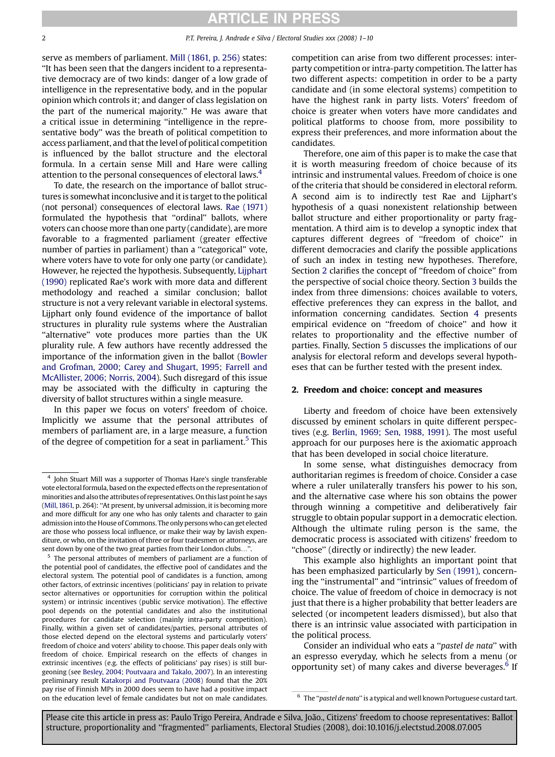## ARTICLE IN PRESS

<span id="page-1-0"></span>serve as members of parliament. [Mill \(1861, p. 256\)](#page-9-0) states: ''It has been seen that the dangers incident to a representative democracy are of two kinds: danger of a low grade of intelligence in the representative body, and in the popular opinion which controls it; and danger of class legislation on the part of the numerical majority.'' He was aware that a critical issue in determining ''intelligence in the representative body'' was the breath of political competition to access parliament, and that the level of political competition is influenced by the ballot structure and the electoral formula. In a certain sense Mill and Hare were calling attention to the personal consequences of electoral laws.<sup>4</sup>

To date, the research on the importance of ballot structures is somewhat inconclusive and it is target to the political (not personal) consequences of electoral laws. [Rae \(1971\)](#page-9-0) formulated the hypothesis that ''ordinal'' ballots, where voters can choose more than one party (candidate), are more favorable to a fragmented parliament (greater effective number of parties in parliament) than a ''categorical'' vote, where voters have to vote for only one party (or candidate). However, he rejected the hypothesis. Subsequently, [Lijphart](#page-9-0) [\(1990\)](#page-9-0) replicated Rae's work with more data and different methodology and reached a similar conclusion; ballot structure is not a very relevant variable in electoral systems. Lijphart only found evidence of the importance of ballot structures in plurality rule systems where the Australian "alternative" vote produces more parties than the UK plurality rule. A few authors have recently addressed the importance of the information given in the ballot [\(Bowler](#page-9-0) [and Grofman, 2000; Carey and Shugart, 1995; Farrell and](#page-9-0) [McAllister, 2006; Norris, 2004](#page-9-0)). Such disregard of this issue may be associated with the difficulty in capturing the diversity of ballot structures within a single measure.

In this paper we focus on voters' freedom of choice. Implicitly we assume that the personal attributes of members of parliament are, in a large measure, a function of the degree of competition for a seat in parliament.<sup>5</sup> This

<sup>5</sup> The personal attributes of members of parliament are a function of the potential pool of candidates, the effective pool of candidates and the electoral system. The potential pool of candidates is a function, among other factors, of extrinsic incentives (politicians' pay in relation to private sector alternatives or opportunities for corruption within the political system) or intrinsic incentives (public service motivation). The effective pool depends on the potential candidates and also the institutional procedures for candidate selection (mainly intra-party competition). Finally, within a given set of candidates/parties, personal attributes of those elected depend on the electoral systems and particularly voters' freedom of choice and voters' ability to choose. This paper deals only with freedom of choice. Empirical research on the effects of changes in extrinsic incentives (e.g. the effects of politicians' pay rises) is still burgeoning (see [Besley, 2004; Poutvaara and Takalo, 2007\)](#page-9-0). In an interesting preliminary result [Katakorpi and Poutvaara \(2008\)](#page-9-0) found that the 20% pay rise of Finnish MPs in 2000 does seem to have had a positive impact on the education level of female candidates but not on male candidates. <sup>6</sup> The "pastel de nata" is a typical and well known Portuguese custard tart.

competition can arise from two different processes: interparty competition or intra-party competition. The latter has two different aspects: competition in order to be a party candidate and (in some electoral systems) competition to have the highest rank in party lists. Voters' freedom of choice is greater when voters have more candidates and political platforms to choose from, more possibility to express their preferences, and more information about the candidates.

Therefore, one aim of this paper is to make the case that it is worth measuring freedom of choice because of its intrinsic and instrumental values. Freedom of choice is one of the criteria that should be considered in electoral reform. A second aim is to indirectly test Rae and Lijphart's hypothesis of a quasi nonexistent relationship between ballot structure and either proportionality or party fragmentation. A third aim is to develop a synoptic index that captures different degrees of ''freedom of choice'' in different democracies and clarify the possible applications of such an index in testing new hypotheses. Therefore, Section 2 clarifies the concept of ''freedom of choice'' from the perspective of social choice theory. Section [3](#page-2-0) builds the index from three dimensions: choices available to voters, effective preferences they can express in the ballot, and information concerning candidates. Section [4](#page-5-0) presents empirical evidence on ''freedom of choice'' and how it relates to proportionality and the effective number of parties. Finally, Section [5](#page-7-0) discusses the implications of our analysis for electoral reform and develops several hypotheses that can be further tested with the present index.

#### 2. Freedom and choice: concept and measures

Liberty and freedom of choice have been extensively discussed by eminent scholars in quite different perspectives (e.g. [Berlin, 1969; Sen, 1988, 1991\)](#page-9-0). The most useful approach for our purposes here is the axiomatic approach that has been developed in social choice literature.

In some sense, what distinguishes democracy from authoritarian regimes is freedom of choice. Consider a case where a ruler unilaterally transfers his power to his son, and the alternative case where his son obtains the power through winning a competitive and deliberatively fair struggle to obtain popular support in a democratic election. Although the ultimate ruling person is the same, the democratic process is associated with citizens' freedom to ''choose'' (directly or indirectly) the new leader.

This example also highlights an important point that has been emphasized particularly by [Sen \(1991\)](#page-9-0), concerning the ''instrumental'' and ''intrinsic'' values of freedom of choice. The value of freedom of choice in democracy is not just that there is a higher probability that better leaders are selected (or incompetent leaders dismissed), but also that there is an intrinsic value associated with participation in the political process.

Consider an individual who eats a ''pastel de nata'' with an espresso everyday, which he selects from a menu (or opportunity set) of many cakes and diverse beverages.<sup>6</sup> If

<sup>4</sup> John Stuart Mill was a supporter of Thomas Hare's single transferable vote electoral formula, based on the expected effects on the representation of minorities and also the attributes of representatives. On this last point he says [\(Mill, 1861,](#page-9-0) p. 264): ''At present, by universal admission, it is becoming more and more difficult for any one who has only talents and character to gain admission into the House of Commons. The only persons who can get elected are those who possess local influence, or make their way by lavish expenditure, or who, on the invitation of three or four tradesmen or attorneys, are sent down by one of the two great parties from their London clubs...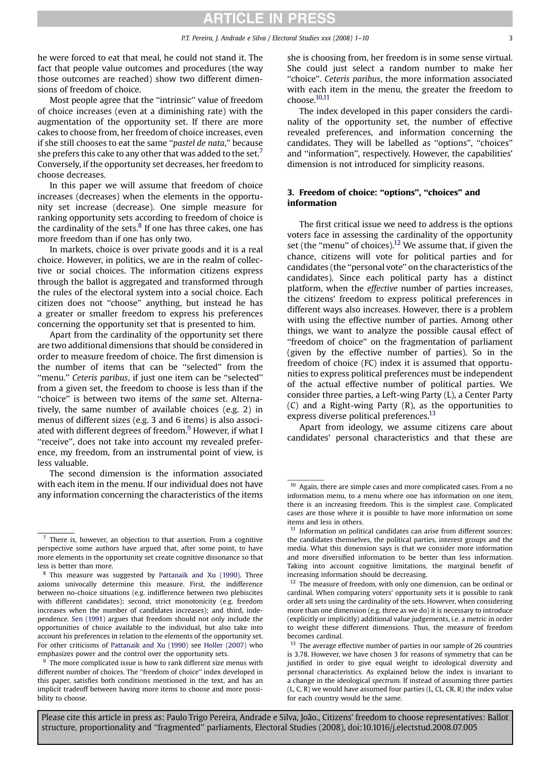<span id="page-2-0"></span>he were forced to eat that meal, he could not stand it. The fact that people value outcomes and procedures (the way those outcomes are reached) show two different dimensions of freedom of choice.

Most people agree that the ''intrinsic'' value of freedom of choice increases (even at a diminishing rate) with the augmentation of the opportunity set. If there are more cakes to choose from, her freedom of choice increases, even if she still chooses to eat the same "pastel de nata," because she prefers this cake to any other that was added to the set.<sup>7</sup> Conversely, if the opportunity set decreases, her freedom to choose decreases.

In this paper we will assume that freedom of choice increases (decreases) when the elements in the opportunity set increase (decrease). One simple measure for ranking opportunity sets according to freedom of choice is the cardinality of the sets. $8$  If one has three cakes, one has more freedom than if one has only two.

In markets, choice is over private goods and it is a real choice. However, in politics, we are in the realm of collective or social choices. The information citizens express through the ballot is aggregated and transformed through the rules of the electoral system into a social choice. Each citizen does not ''choose'' anything, but instead he has a greater or smaller freedom to express his preferences concerning the opportunity set that is presented to him.

Apart from the cardinality of the opportunity set there are two additional dimensions that should be considered in order to measure freedom of choice. The first dimension is the number of items that can be ''selected'' from the ''menu.'' Ceteris paribus, if just one item can be ''selected'' from a given set, the freedom to choose is less than if the ''choice'' is between two items of the same set. Alternatively, the same number of available choices (e.g. 2) in menus of different sizes (e.g. 3 and 6 items) is also associated with different degrees of freedom.<sup>9</sup> However, if what I ''receive'', does not take into account my revealed preference, my freedom, from an instrumental point of view, is less valuable.

The second dimension is the information associated with each item in the menu. If our individual does not have any information concerning the characteristics of the items she is choosing from, her freedom is in some sense virtual. She could just select a random number to make her "choice". Ceteris paribus, the more information associated with each item in the menu, the greater the freedom to choose.10,11

The index developed in this paper considers the cardinality of the opportunity set, the number of effective revealed preferences, and information concerning the candidates. They will be labelled as ''options'', ''choices'' and ''information'', respectively. However, the capabilities' dimension is not introduced for simplicity reasons.

## 3. Freedom of choice: ''options'', ''choices'' and information

The first critical issue we need to address is the options voters face in assessing the cardinality of the opportunity set (the "menu" of choices).<sup>12</sup> We assume that, if given the chance, citizens will vote for political parties and for candidates (the ''personal vote'' on the characteristics of the candidates). Since each political party has a distinct platform, when the effective number of parties increases, the citizens' freedom to express political preferences in different ways also increases. However, there is a problem with using the effective number of parties. Among other things, we want to analyze the possible causal effect of "freedom of choice" on the fragmentation of parliament (given by the effective number of parties). So in the freedom of choice (FC) index it is assumed that opportunities to express political preferences must be independent of the actual effective number of political parties. We consider three parties, a Left-wing Party (L), a Center Party (C) and a Right-wing Party (R), as the opportunities to express diverse political preferences.<sup>13</sup>

Apart from ideology, we assume citizens care about candidates' personal characteristics and that these are

There is, however, an objection to that assertion. From a cognitive perspective some authors have argued that, after some point, to have more elements in the opportunity set create cognitive dissonance so that less is better than more.

<sup>8</sup> This measure was suggested by [Pattanaik and Xu \(1990\)](#page-9-0). Three axioms univocally determine this measure. First, the indifference between no-choice situations (e.g. indifference between two plebiscites with different candidates); second, strict monotonicity (e.g. freedom increases when the number of candidates increases); and third, independence. [Sen \(1991\)](#page-9-0) argues that freedom should not only include the opportunities of choice available to the individual, but also take into account his preferences in relation to the elements of the opportunity set. For other criticisms of [Pattanaik and Xu \(1990\)](#page-9-0) see [Holler \(2007\)](#page-9-0) who emphasizes power and the control over the opportunity sets.

 $9\text{ }$  The more complicated issue is how to rank different size menus with different number of choices. The ''freedom of choice'' index developed in this paper, satisfies both conditions mentioned in the text, and has an implicit tradeoff between having more items to choose and more possibility to choose.

 $10$  Again, there are simple cases and more complicated cases. From a no information menu, to a menu where one has information on one item, there is an increasing freedom. This is the simplest case. Complicated cases are those where it is possible to have more information on some items and less in others.

 $11$  Information on political candidates can arise from different sources: the candidates themselves, the political parties, interest groups and the media. What this dimension says is that we consider more information and more diversified information to be better than less information. Taking into account cognitive limitations, the marginal benefit of increasing information should be decreasing.

<sup>&</sup>lt;sup>12</sup> The measure of freedom, with only one dimension, can be ordinal or cardinal. When comparing voters' opportunity sets it is possible to rank order all sets using the cardinality of the sets. However, when considering more than one dimension (e.g. three as we do) it is necessary to introduce (explicitly or implicitly) additional value judgements, i.e. a metric in order to weight these different dimensions. Thus, the measure of freedom becomes cardinal.

<sup>&</sup>lt;sup>13</sup> The average effective number of parties in our sample of 26 countries is 3.78. However, we have chosen 3 for reasons of symmetry that can be justified in order to give equal weight to ideological diversity and personal characteristics. As explained below the index is invariant to a change in the ideological spectrum. If instead of assuming three parties (L, C, R) we would have assumed four parties (L, CL, CR, R) the index value for each country would be the same.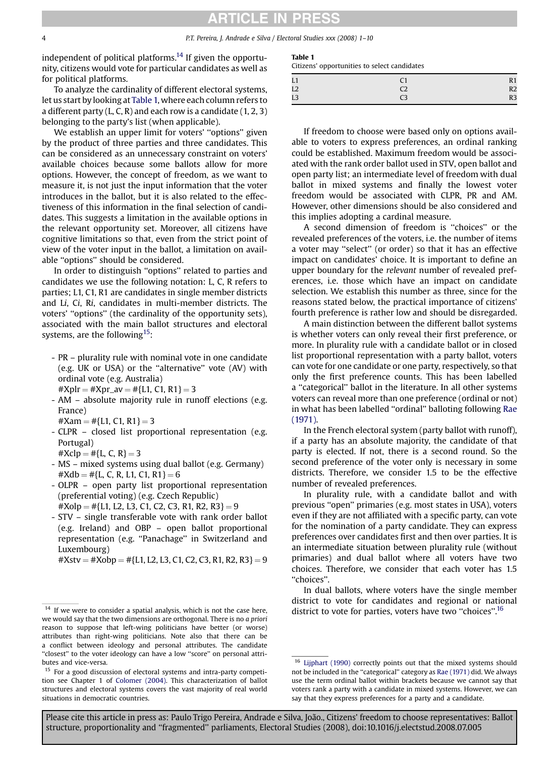## RTICLE IN PRES

4 P.T. Pereira, J. Andrade e Silva / Electoral Studies xxx (2008) 1–10

independent of political platforms.<sup>14</sup> If given the opportunity, citizens would vote for particular candidates as well as for political platforms.

To analyze the cardinality of different electoral systems, let us start by looking at Table 1, where each column refers to a different party  $(L, C, R)$  and each row is a candidate  $(1, 2, 3)$ belonging to the party's list (when applicable).

We establish an upper limit for voters' ''options'' given by the product of three parties and three candidates. This can be considered as an unnecessary constraint on voters' available choices because some ballots allow for more options. However, the concept of freedom, as we want to measure it, is not just the input information that the voter introduces in the ballot, but it is also related to the effectiveness of this information in the final selection of candidates. This suggests a limitation in the available options in the relevant opportunity set. Moreover, all citizens have cognitive limitations so that, even from the strict point of view of the voter input in the ballot, a limitation on available ''options'' should be considered.

In order to distinguish ''options'' related to parties and candidates we use the following notation: L, C, R refers to parties; L1, C1, R1 are candidates in single member districts and Li, Ci, Ri, candidates in multi-member districts. The voters' ''options'' (the cardinality of the opportunity sets), associated with the main ballot structures and electoral systems, are the following<sup>15</sup>:

- PR plurality rule with nominal vote in one candidate (e.g. UK or USA) or the ''alternative'' vote (AV) with ordinal vote (e.g. Australia)  $#Xplr = #Xpr$ \_av =  $#{L1, C1, R1} = 3$
- AM absolute majority rule in runoff elections (e.g.
- France)
- $#Xam = #{L1, C1, R1} = 3$
- CLPR closed list proportional representation (e.g. Portugal)
	- $#Xclp = #{L, C, R} = 3$
- MS mixed systems using dual ballot (e.g. Germany)  $#Xdb = #{L, C, R, L1, C1, R1} = 6$
- OLPR open party list proportional representation (preferential voting) (e.g. Czech Republic)
- $#Xolp = #{L1, L2, L3, C1, C2, C3, R1, R2, R3} = 9$ - STV – single transferable vote with rank order ballot
- (e.g. Ireland) and OBP open ballot proportional representation (e.g. ''Panachage'' in Switzerland and Luxembourg)

 $#Xstv = #Xobp = #{L1, L2, L3, C1, C2, C3, R1, R2, R3} = 9$ 

#### Table 1

Citizens' opportunities to select candidates

| L1             |                | R <sub>1</sub> |
|----------------|----------------|----------------|
| L2             | C <sub>2</sub> | R <sub>2</sub> |
| L <sub>3</sub> | LЗ             | R <sub>3</sub> |

If freedom to choose were based only on options available to voters to express preferences, an ordinal ranking could be established. Maximum freedom would be associated with the rank order ballot used in STV, open ballot and open party list; an intermediate level of freedom with dual ballot in mixed systems and finally the lowest voter freedom would be associated with CLPR, PR and AM. However, other dimensions should be also considered and this implies adopting a cardinal measure.

A second dimension of freedom is ''choices'' or the revealed preferences of the voters, i.e. the number of items a voter may ''select'' (or order) so that it has an effective impact on candidates' choice. It is important to define an upper boundary for the relevant number of revealed preferences, i.e. those which have an impact on candidate selection. We establish this number as three, since for the reasons stated below, the practical importance of citizens' fourth preference is rather low and should be disregarded.

A main distinction between the different ballot systems is whether voters can only reveal their first preference, or more. In plurality rule with a candidate ballot or in closed list proportional representation with a party ballot, voters can vote for one candidate or one party, respectively, so that only the first preference counts. This has been labelled a ''categorical'' ballot in the literature. In all other systems voters can reveal more than one preference (ordinal or not) in what has been labelled ''ordinal'' balloting following [Rae](#page-9-0) [\(1971\)](#page-9-0).

In the French electoral system (party ballot with runoff), if a party has an absolute majority, the candidate of that party is elected. If not, there is a second round. So the second preference of the voter only is necessary in some districts. Therefore, we consider 1.5 to be the effective number of revealed preferences.

In plurality rule, with a candidate ballot and with previous ''open'' primaries (e.g. most states in USA), voters even if they are not affiliated with a specific party, can vote for the nomination of a party candidate. They can express preferences over candidates first and then over parties. It is an intermediate situation between plurality rule (without primaries) and dual ballot where all voters have two choices. Therefore, we consider that each voter has 1.5 ''choices''.

In dual ballots, where voters have the single member district to vote for candidates and regional or national district to vote for parties, voters have two "choices".<sup>16</sup>

 $14$  If we were to consider a spatial analysis, which is not the case here, we would say that the two dimensions are orthogonal. There is no a priori reason to suppose that left-wing politicians have better (or worse) attributes than right-wing politicians. Note also that there can be a conflict between ideology and personal attributes. The candidate "closest" to the voter ideology can have a low "score" on personal attributes and vice-versa.

<sup>&</sup>lt;sup>15</sup> For a good discussion of electoral systems and intra-party competition see Chapter 1 of [Colomer \(2004\).](#page-9-0) This characterization of ballot structures and electoral systems covers the vast majority of real world situations in democratic countries.

<sup>&</sup>lt;sup>16</sup> [Lijphart \(1990\)](#page-9-0) correctly points out that the mixed systems should not be included in the ''categorical'' category as [Rae \(1971\)](#page-9-0) did. We always use the term ordinal ballot within brackets because we cannot say that voters rank a party with a candidate in mixed systems. However, we can say that they express preferences for a party and a candidate.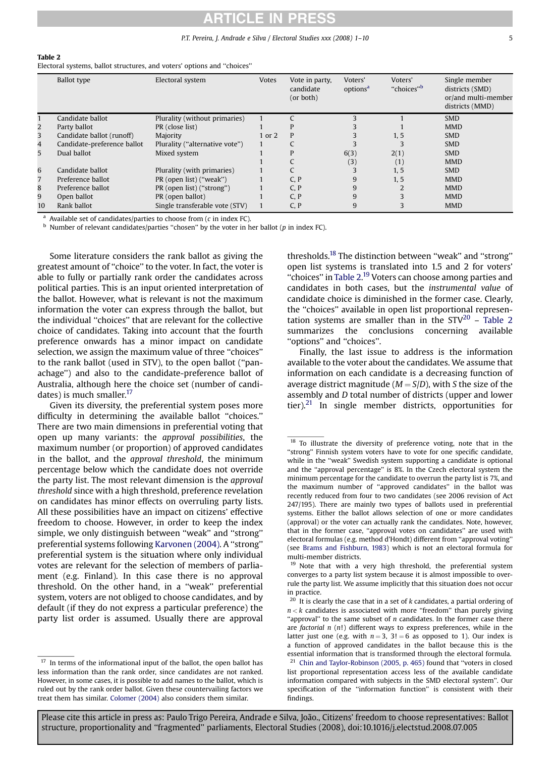# TICLE IN PRES

#### P.T. Pereira, J. Andrade e Silva / Electoral Studies xxx (2008) 1–10 5

#### Table 2

Electoral systems, ballot structures, and voters' options and ''choices''

|    | <b>Ballot</b> type          | Electoral system               | <b>Votes</b> | Vote in party,<br>candidate<br>(or both) | Voters'<br>options <sup>a</sup> | Voters'<br>"choices" <sup>b</sup> | Single member<br>districts (SMD)<br>or/and multi-member<br>districts (MMD) |
|----|-----------------------------|--------------------------------|--------------|------------------------------------------|---------------------------------|-----------------------------------|----------------------------------------------------------------------------|
|    | Candidate ballot            | Plurality (without primaries)  |              |                                          |                                 |                                   | <b>SMD</b>                                                                 |
| 2  | Party ballot                | PR (close list)                |              |                                          |                                 |                                   | <b>MMD</b>                                                                 |
| 3  | Candidate ballot (runoff)   | Majority                       | 1 or 2       | P                                        |                                 | 1, 5                              | <b>SMD</b>                                                                 |
| 4  | Candidate-preference ballot | Plurality ("alternative vote") |              |                                          |                                 |                                   | <b>SMD</b>                                                                 |
| 5  | Dual ballot                 | Mixed system                   |              | P                                        | 6(3)                            | 2(1)                              | <b>SMD</b>                                                                 |
|    |                             |                                |              |                                          | (3)                             | (1)                               | <b>MMD</b>                                                                 |
| 6  | Candidate ballot            | Plurality (with primaries)     |              |                                          |                                 | 1, 5                              | <b>SMD</b>                                                                 |
| 7  | Preference ballot           | PR (open list) ("weak")        |              | C, P                                     | 9                               | 1.5                               | <b>MMD</b>                                                                 |
| 8  | Preference ballot           | PR (open list) ("strong")      |              | C, P                                     | 9                               |                                   | <b>MMD</b>                                                                 |
| 9  | Open ballot                 | PR (open ballot)               |              | C, P                                     | 9                               |                                   | <b>MMD</b>                                                                 |
| 10 | Rank ballot                 | Single transferable vote (STV) |              | C, P                                     | 9                               |                                   | <b>MMD</b>                                                                 |

 $a$  Available set of candidates/parties to choose from ( $c$  in index FC).

 $<sup>b</sup>$  Number of relevant candidates/parties "chosen" by the voter in her ballot (p in index FC).</sup>

Some literature considers the rank ballot as giving the greatest amount of ''choice'' to the voter. In fact, the voter is able to fully or partially rank order the candidates across political parties. This is an input oriented interpretation of the ballot. However, what is relevant is not the maximum information the voter can express through the ballot, but the individual ''choices'' that are relevant for the collective choice of candidates. Taking into account that the fourth preference onwards has a minor impact on candidate selection, we assign the maximum value of three ''choices'' to the rank ballot (used in STV), to the open ballot (''panachage'') and also to the candidate-preference ballot of Australia, although here the choice set (number of candidates) is much smaller.<sup>17</sup>

Given its diversity, the preferential system poses more difficulty in determining the available ballot ''choices.'' There are two main dimensions in preferential voting that open up many variants: the approval possibilities, the maximum number (or proportion) of approved candidates in the ballot, and the approval threshold, the minimum percentage below which the candidate does not override the party list. The most relevant dimension is the approval threshold since with a high threshold, preference revelation on candidates has minor effects on overruling party lists. All these possibilities have an impact on citizens' effective freedom to choose. However, in order to keep the index simple, we only distinguish between ''weak'' and ''strong'' preferential systems following [Karvonen \(2004\)](#page-9-0). A ''strong'' preferential system is the situation where only individual votes are relevant for the selection of members of parliament (e.g. Finland). In this case there is no approval threshold. On the other hand, in a ''weak'' preferential system, voters are not obliged to choose candidates, and by default (if they do not express a particular preference) the party list order is assumed. Usually there are approval thresholds.18 The distinction between ''weak'' and ''strong'' open list systems is translated into 1.5 and 2 for voters' "choices" in Table 2.<sup>19</sup> Voters can choose among parties and candidates in both cases, but the instrumental value of candidate choice is diminished in the former case. Clearly, the ''choices'' available in open list proportional representation systems are smaller than in the  $STV^{20}$  – Table 2 summarizes the conclusions concerning available ''options'' and ''choices''.

Finally, the last issue to address is the information available to the voter about the candidates. We assume that information on each candidate is a decreasing function of average district magnitude ( $M = S/D$ ), with S the size of the assembly and D total number of districts (upper and lower tier). $21$  In single member districts, opportunities for

<sup>&</sup>lt;sup>17</sup> In terms of the informational input of the ballot, the open ballot has less information than the rank order, since candidates are not ranked. However, in some cases, it is possible to add names to the ballot, which is ruled out by the rank order ballot. Given these countervailing factors we treat them has similar. [Colomer \(2004\)](#page-9-0) also considers them similar.

<sup>&</sup>lt;sup>18</sup> To illustrate the diversity of preference voting, note that in the ''strong'' Finnish system voters have to vote for one specific candidate, while in the ''weak'' Swedish system supporting a candidate is optional and the ''approval percentage'' is 8%. In the Czech electoral system the minimum percentage for the candidate to overrun the party list is 7%, and the maximum number of ''approved candidates'' in the ballot was recently reduced from four to two candidates (see 2006 revision of Act 247/195). There are mainly two types of ballots used in preferential systems. Either the ballot allows selection of one or more candidates (approval) or the voter can actually rank the candidates. Note, however, that in the former case, ''approval votes on candidates'' are used with electoral formulas (e.g. method d'Hondt) different from ''approval voting'' (see [Brams and Fishburn, 1983](#page-9-0)) which is not an electoral formula for multi-member districts.

<sup>&</sup>lt;sup>19</sup> Note that with a very high threshold, the preferential system converges to a party list system because it is almost impossible to overrule the party list. We assume implicitly that this situation does not occur in practice.

It is clearly the case that in a set of k candidates, a partial ordering of  $n < k$  candidates is associated with more "freedom" than purely giving "approval" to the same subset of  $n$  candidates. In the former case there are factorial  $n(n!)$  different ways to express preferences, while in the latter just one (e.g. with  $n = 3$ ,  $3! = 6$  as opposed to 1). Our index is a function of approved candidates in the ballot because this is the essential information that is transformed through the electoral formula. <sup>21</sup> [Chin and Taylor-Robinson \(2005, p. 465\)](#page-9-0) found that "voters in closed list proportional representation access less of the available candidate information compared with subjects in the SMD electoral system''. Our specification of the ''information function'' is consistent with their findings.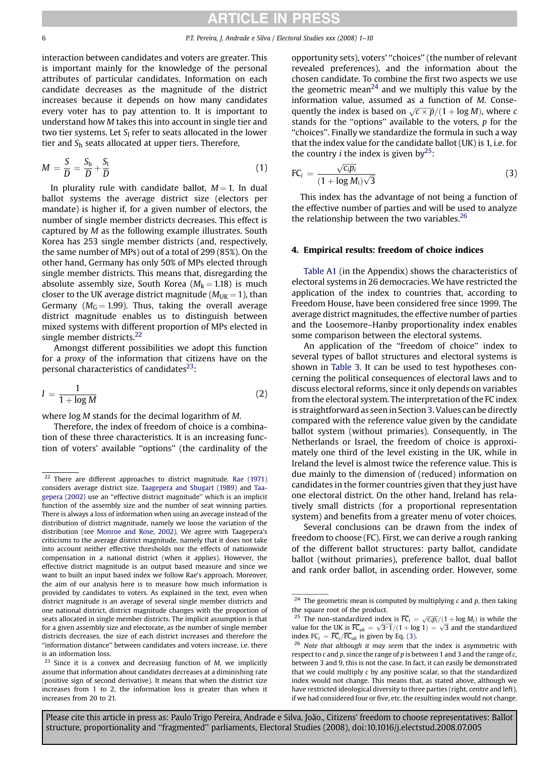<span id="page-5-0"></span>interaction between candidates and voters are greater. This is important mainly for the knowledge of the personal attributes of particular candidates. Information on each candidate decreases as the magnitude of the district increases because it depends on how many candidates every voter has to pay attention to. It is important to understand how M takes this into account in single tier and two tier systems. Let  $S_1$  refer to seats allocated in the lower tier and  $S_h$  seats allocated at upper tiers. Therefore,

$$
M = \frac{S}{D} = \frac{S_h}{D} + \frac{S_l}{D} \tag{1}
$$

In plurality rule with candidate ballot,  $M = 1$ . In dual ballot systems the average district size (electors per mandate) is higher if, for a given number of electors, the number of single member districts decreases. This effect is captured by M as the following example illustrates. South Korea has 253 single member districts (and, respectively, the same number of MPs) out of a total of 299 (85%). On the other hand, Germany has only 50% of MPs elected through single member districts. This means that, disregarding the absolute assembly size, South Korea ( $M_k = 1.18$ ) is much closer to the UK average district magnitude ( $M_{\text{I/K}} = 1$ ), than Germany ( $M<sub>G</sub> = 1.99$ ). Thus, taking the overall average district magnitude enables us to distinguish between mixed systems with different proportion of MPs elected in single member districts.<sup>22</sup>

Amongst different possibilities we adopt this function for a proxy of the information that citizens have on the personal characteristics of candidates $^{23}$ :

$$
I = \frac{1}{1 + \log M} \tag{2}
$$

where log M stands for the decimal logarithm of M.

Therefore, the index of freedom of choice is a combination of these three characteristics. It is an increasing function of voters' available ''options'' (the cardinality of the opportunity sets), voters' ''choices'' (the number of relevant revealed preferences), and the information about the chosen candidate. To combine the first two aspects we use the geometric mean<sup>24</sup> and we multiply this value by the information value, assumed as a function of M. Consequently the index is based on  $\sqrt{c \times p}/(1 + \log M)$ , where c stands for the "options" available to the voters,  $p$  for the ''choices''. Finally we standardize the formula in such a way that the index value for the candidate ballot (UK) is 1, i.e. for the country *i* the index is given by<sup>25</sup>:

$$
\text{FC}_i = \frac{\sqrt{c_i p_i}}{(1 + \log M_i)\sqrt{3}}
$$
 (3)

This index has the advantage of not being a function of the effective number of parties and will be used to analyze the relationship between the two variables. $26$ 

#### 4. Empirical results: freedom of choice indices

[Table A1](#page-8-0) (in the Appendix) shows the characteristics of electoral systems in 26 democracies. We have restricted the application of the index to countries that, according to Freedom House, have been considered free since 1999. The average district magnitudes, the effective number of parties and the Loosemore–Hanby proportionality index enables some comparison between the electoral systems.

An application of the ''freedom of choice'' index to several types of ballot structures and electoral systems is shown in [Table 3](#page-6-0). It can be used to test hypotheses concerning the political consequences of electoral laws and to discuss electoral reforms, since it only depends on variables from the electoral system. The interpretation of the FC index is straightforward as seen in Section [3](#page-2-0). Values can be directly compared with the reference value given by the candidate ballot system (without primaries). Consequently, in The Netherlands or Israel, the freedom of choice is approximately one third of the level existing in the UK, while in Ireland the level is almost twice the reference value. This is due mainly to the dimension of (reduced) information on candidates in the former countries given that they just have one electoral district. On the other hand, Ireland has relatively small districts (for a proportional representation system) and benefits from a greater menu of voter choices.

Several conclusions can be drawn from the index of freedom to choose (FC). First, we can derive a rough ranking of the different ballot structures: party ballot, candidate ballot (without primaries), preference ballot, dual ballot and rank order ballot, in ascending order. However, some

 $22$  There are different approaches to district magnitude. [Rae \(1971\)](#page-9-0) considers average district size. [Taagepera and Shugart \(1989\)](#page-9-0) and [Taa](#page-9-0)[gepera \(2002\)](#page-9-0) use an ''effective district magnitude'' which is an implicit function of the assembly size and the number of seat winning parties. There is always a loss of information when using an average instead of the distribution of district magnitude, namely we loose the variation of the distribution (see [Monroe and Rose, 2002](#page-9-0)). We agree with Taagepera's criticisms to the average district magnitude, namely that it does not take into account neither effective thresholds nor the effects of nationwide compensation in a national district (when it applies). However, the effective district magnitude is an output based measure and since we want to built an input based index we follow Rae's approach. Moreover, the aim of our analysis here is to measure how much information is provided by candidates to voters. As explained in the text, even when district magnitude is an average of several single member districts and one national district, district magnitude changes with the proportion of seats allocated in single member districts. The implicit assumption is that for a given assembly size and electorate, as the number of single member districts decreases, the size of each district increases and therefore the ''information distance'' between candidates and voters increase, i.e. there is an information loss.

 $23$  Since it is a convex and decreasing function of M, we implicitly assume that information about candidates decreases at a diminishing rate (positive sign of second derivative). It means that when the district size increases from 1 to 2, the information loss is greater than when it increases from 20 to 21.

<sup>&</sup>lt;sup>24</sup> The geometric mean is computed by multiplying  $c$  and  $p$ , then taking the square root of the product.

<sup>&</sup>lt;sup>25</sup> The non-standardized index is  $\overline{FC}_i = \sqrt{c_i p_i}/(1 + \log M_i)$  is while the value for the UK is  $\overline{FC}_{uk} = \sqrt{3*1}/(1 + \log 1) = \sqrt{3}$  and the standardized index  $FC_i = \overline{FC}_i / \overline{FC}_{uk}$  is given by Eq. (3).

 $26$  Note that although it may seem that the index is asymmetric with respect to  $c$  and  $p$ , since the range of  $p$  is between 1 and 3 and the range of  $c$ , between 3 and 9, this is not the case. In fact, it can easily be demonstrated that we could multiply c by any positive scalar, so that the standardized index would not change. This means that, as stated above, although we have restricted ideological diversity to three parties (right, centre and left), if we had considered four or five, etc. the resulting index would not change.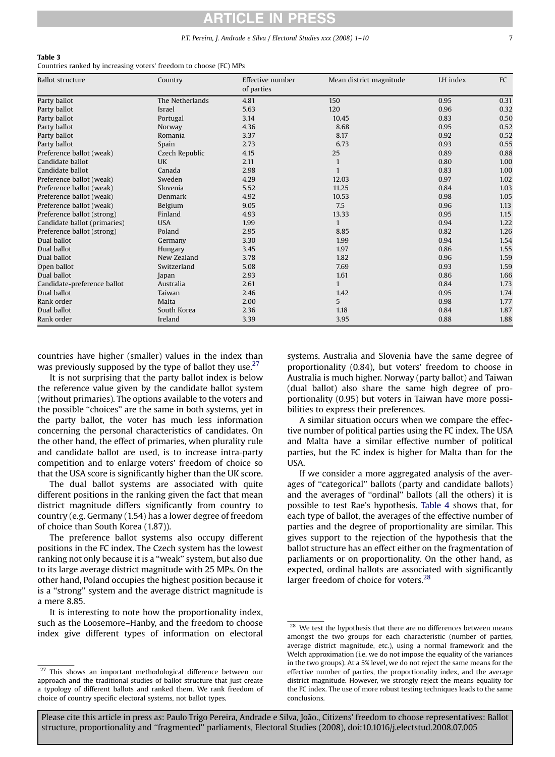# CI F IN PRF

#### P.T. Pereira, J. Andrade e Silva / Electoral Studies xxx (2008) 1–10 7

#### <span id="page-6-0"></span>Table 3

Countries ranked by increasing voters' freedom to choose (FC) MPs

| <b>Ballot structure</b>      | Country         | Effective number<br>of parties | Mean district magnitude | LH index | FC   |
|------------------------------|-----------------|--------------------------------|-------------------------|----------|------|
| Party ballot                 | The Netherlands | 4.81                           | 150                     | 0.95     | 0.31 |
| Party ballot                 | Israel          | 5.63                           | 120                     | 0.96     | 0.32 |
| Party ballot                 | Portugal        | 3.14                           | 10.45                   | 0.83     | 0.50 |
| Party ballot                 | Norway          | 4.36                           | 8.68                    | 0.95     | 0.52 |
| Party ballot                 | Romania         | 3.37                           | 8.17                    | 0.92     | 0.52 |
| Party ballot                 | Spain           | 2.73                           | 6.73                    | 0.93     | 0.55 |
| Preference ballot (weak)     | Czech Republic  | 4.15                           | 25                      | 0.89     | 0.88 |
| Candidate ballot             | <b>UK</b>       | 2.11                           | $\mathbf{1}$            | 0.80     | 1.00 |
| Candidate ballot             | Canada          | 2.98                           | $\mathbf{1}$            | 0.83     | 1.00 |
| Preference ballot (weak)     | Sweden          | 4.29                           | 12.03                   | 0.97     | 1.02 |
| Preference ballot (weak)     | Slovenia        | 5.52                           | 11.25                   | 0.84     | 1.03 |
| Preference ballot (weak)     | Denmark         | 4.92                           | 10.53                   | 0.98     | 1.05 |
| Preference ballot (weak)     | Belgium         | 9.05                           | 7.5                     | 0.96     | 1.13 |
| Preference ballot (strong)   | Finland         | 4.93                           | 13.33                   | 0.95     | 1.15 |
| Candidate ballot (primaries) | <b>USA</b>      | 1.99                           | $\mathbf{1}$            | 0.94     | 1.22 |
| Preference ballot (strong)   | Poland          | 2.95                           | 8.85                    | 0.82     | 1.26 |
| Dual ballot                  | Germany         | 3.30                           | 1.99                    | 0.94     | 1.54 |
| Dual ballot                  | Hungary         | 3.45                           | 1.97                    | 0.86     | 1.55 |
| Dual ballot                  | New Zealand     | 3.78                           | 1.82                    | 0.96     | 1.59 |
| Open ballot                  | Switzerland     | 5.08                           | 7.69                    | 0.93     | 1.59 |
| Dual ballot                  | Japan           | 2.93                           | 1.61                    | 0.86     | 1.66 |
| Candidate-preference ballot  | Australia       | 2.61                           | 1                       | 0.84     | 1.73 |
| Dual ballot                  | Taiwan          | 2.46                           | 1.42                    | 0.95     | 1.74 |
| Rank order                   | Malta           | 2.00                           | 5                       | 0.98     | 1.77 |
| Dual ballot                  | South Korea     | 2.36                           | 1.18                    | 0.84     | 1.87 |
| Rank order                   | Ireland         | 3.39                           | 3.95                    | 0.88     | 1.88 |

countries have higher (smaller) values in the index than was previously supposed by the type of ballot they use. $27$ 

It is not surprising that the party ballot index is below the reference value given by the candidate ballot system (without primaries). The options available to the voters and the possible "choices" are the same in both systems, yet in the party ballot, the voter has much less information concerning the personal characteristics of candidates. On the other hand, the effect of primaries, when plurality rule and candidate ballot are used, is to increase intra-party competition and to enlarge voters' freedom of choice so that the USA score is significantly higher than the UK score.

The dual ballot systems are associated with quite different positions in the ranking given the fact that mean district magnitude differs significantly from country to country (e.g. Germany (1.54) has a lower degree of freedom of choice than South Korea (1.87)).

The preference ballot systems also occupy different positions in the FC index. The Czech system has the lowest ranking not only because it is a ''weak'' system, but also due to its large average district magnitude with 25 MPs. On the other hand, Poland occupies the highest position because it is a ''strong'' system and the average district magnitude is a mere 8.85.

It is interesting to note how the proportionality index, such as the Loosemore–Hanby, and the freedom to choose index give different types of information on electoral

systems. Australia and Slovenia have the same degree of proportionality (0.84), but voters' freedom to choose in Australia is much higher. Norway (party ballot) and Taiwan (dual ballot) also share the same high degree of proportionality (0.95) but voters in Taiwan have more possibilities to express their preferences.

A similar situation occurs when we compare the effective number of political parties using the FC index. The USA and Malta have a similar effective number of political parties, but the FC index is higher for Malta than for the USA.

If we consider a more aggregated analysis of the averages of ''categorical'' ballots (party and candidate ballots) and the averages of ''ordinal'' ballots (all the others) it is possible to test Rae's hypothesis. [Table 4](#page-7-0) shows that, for each type of ballot, the averages of the effective number of parties and the degree of proportionality are similar. This gives support to the rejection of the hypothesis that the ballot structure has an effect either on the fragmentation of parliaments or on proportionality. On the other hand, as expected, ordinal ballots are associated with significantly larger freedom of choice for voters.<sup>28</sup>

<sup>&</sup>lt;sup>27</sup> This shows an important methodological difference between our approach and the traditional studies of ballot structure that just create a typology of different ballots and ranked them. We rank freedom of choice of country specific electoral systems, not ballot types.

 $^\mathrm{28}$  We test the hypothesis that there are no differences between means amongst the two groups for each characteristic (number of parties, average district magnitude, etc.), using a normal framework and the Welch approximation (i.e. we do not impose the equality of the variances in the two groups). At a 5% level, we do not reject the same means for the effective number of parties, the proportionality index, and the average district magnitude. However, we strongly reject the means equality for the FC index. The use of more robust testing techniques leads to the same conclusions.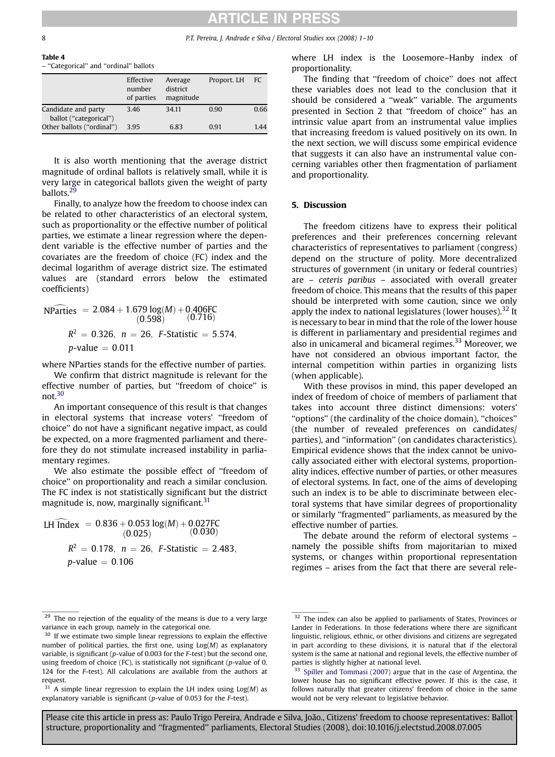Table 4

## **RTICLE IN PRES**

#### <span id="page-7-0"></span>8 P.T. Pereira, J. Andrade e Silva / Electoral Studies xxx (2008) 1–10

– ''Categorical'' and ''ordinal'' ballots

|                                               | Effective<br>number<br>of parties | Average<br>district<br>magnitude | Proport. LH | FC.  |
|-----------------------------------------------|-----------------------------------|----------------------------------|-------------|------|
| Candidate and party<br>ballot ("categorical") | 3.46                              | 34.11                            | 0.90        | 0.66 |
| Other ballots ("ordinal")                     | 3.95                              | 6.83                             | 0.91        | 1.44 |

It is also worth mentioning that the average district magnitude of ordinal ballots is relatively small, while it is very large in categorical ballots given the weight of party ballots.<sup>29</sup>

Finally, to analyze how the freedom to choose index can be related to other characteristics of an electoral system, such as proportionality or the effective number of political parties, we estimate a linear regression where the dependent variable is the effective number of parties and the covariates are the freedom of choice (FC) index and the decimal logarithm of average district size. The estimated values are (standard errors below the estimated coefficients)

NParticles = 
$$
2.084 + 1.679 \log(M) + 0.406FC
$$
  
(0.598) (0.716)  
 $R^2 = 0.326$ ,  $n = 26$ , *F*-Statistic = 5.574,  
*p*-value = 0.011

where NParties stands for the effective number of parties.

We confirm that district magnitude is relevant for the effective number of parties, but ''freedom of choice'' is not.30

An important consequence of this result is that changes in electoral systems that increase voters' ''freedom of choice'' do not have a significant negative impact, as could be expected, on a more fragmented parliament and therefore they do not stimulate increased instability in parliamentary regimes.

We also estimate the possible effect of "freedom of choice'' on proportionality and reach a similar conclusion. The FC index is not statistically significant but the district magnitude is, now, marginally significant. $31$ 

LH Index =  $0.836 + 0.053 \log(M) + 0.027$ FC  $(0.025)$  $(0.030)$  $R^2 = 0.178$ ,  $n = 26$ , F-Statistic = 2.483,  $p$ -value  $= 0.106$ 

where LH index is the Loosemore–Hanby index of proportionality.

The finding that ''freedom of choice'' does not affect these variables does not lead to the conclusion that it should be considered a ''weak'' variable. The arguments presented in Section [2](#page-1-0) that ''freedom of choice'' has an intrinsic value apart from an instrumental value implies that increasing freedom is valued positively on its own. In the next section, we will discuss some empirical evidence that suggests it can also have an instrumental value concerning variables other then fragmentation of parliament and proportionality.

## 5. Discussion

The freedom citizens have to express their political preferences and their preferences concerning relevant characteristics of representatives to parliament (congress) depend on the structure of polity. More decentralized structures of government (in unitary or federal countries) are – ceteris paribus – associated with overall greater freedom of choice. This means that the results of this paper should be interpreted with some caution, since we only apply the index to national legislatures (lower houses).  $32$  It is necessary to bear in mind that the role of the lower house is different in parliamentary and presidential regimes and also in unicameral and bicameral regimes.<sup>33</sup> Moreover, we have not considered an obvious important factor, the internal competition within parties in organizing lists (when applicable).

With these provisos in mind, this paper developed an index of freedom of choice of members of parliament that takes into account three distinct dimensions: voters' ''options'' (the cardinality of the choice domain), ''choices'' (the number of revealed preferences on candidates/ parties), and ''information'' (on candidates characteristics). Empirical evidence shows that the index cannot be univocally associated either with electoral systems, proportionality indices, effective number of parties, or other measures of electoral systems. In fact, one of the aims of developing such an index is to be able to discriminate between electoral systems that have similar degrees of proportionality or similarly ''fragmented'' parliaments, as measured by the effective number of parties.

The debate around the reform of electoral systems – namely the possible shifts from majoritarian to mixed systems, or changes within proportional representation regimes – arises from the fact that there are several rele-

<sup>&</sup>lt;sup>29</sup> The no rejection of the equality of the means is due to a very large variance in each group, namely in the categorical one.

<sup>&</sup>lt;sup>30</sup> If we estimate two simple linear regressions to explain the effective number of political parties, the first one, using  $Log(M)$  as explanatory variable, is significant ( $p$ -value of 0.003 for the  $F$ -test) but the second one, using freedom of choice (FC), is statistically not significant (p-value of 0. 124 for the F-test). All calculations are available from the authors at request.

 $31$  A simple linear regression to explain the LH index using  $Log(M)$  as explanatory variable is significant (p-value of 0.053 for the F-test).

<sup>&</sup>lt;sup>32</sup> The index can also be applied to parliaments of States, Provinces or Lander in Federations. In those federations where there are significant linguistic, religious, ethnic, or other divisions and citizens are segregated in part according to these divisions, it is natural that if the electoral system is the same at national and regional levels, the effective number of parties is slightly higher at national level.

[Spiller and Tommasi \(2007\)](#page-9-0) argue that in the case of Argentina, the lower house has no significant effective power. If this is the case, it follows naturally that greater citizens' freedom of choice in the same would not be very relevant to legislative behavior.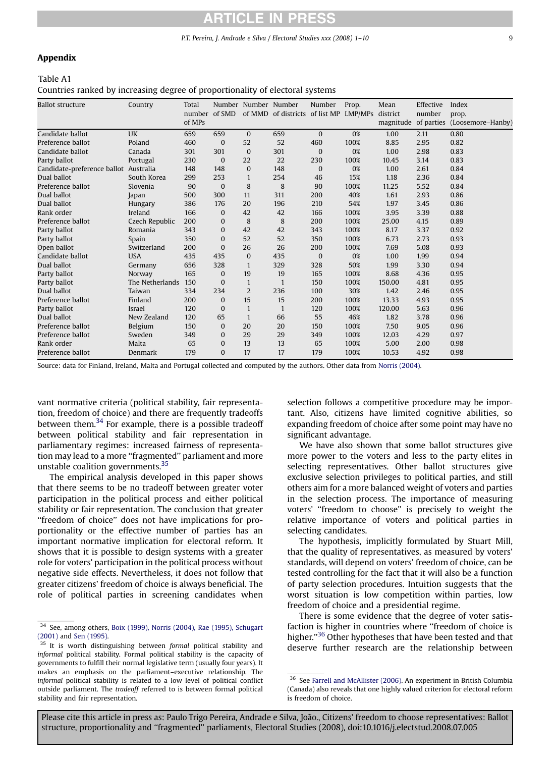# RTICLE IN PRES

P.T. Pereira, J. Andrade e Silva / Electoral Studies xxx (2008) 1–10 9

### <span id="page-8-0"></span>Appendix

### Table A1

Countries ranked by increasing degree of proportionality of electoral systems

| <b>Ballot structure</b>               | Country         | Total<br>number of SMD<br>of MPs |              | Number Number Number | of MMD of districts of list MP LMP/MPs | Number       | Prop. | Mean<br>district<br>magnitude | Effective<br>number<br>of parties | Index<br>prop.<br>(Loosemore-Hanby) |
|---------------------------------------|-----------------|----------------------------------|--------------|----------------------|----------------------------------------|--------------|-------|-------------------------------|-----------------------------------|-------------------------------------|
| Candidate ballot                      | UK              | 659                              | 659          | $\Omega$             | 659                                    | $\Omega$     | 0%    | 1.00                          | 2.11                              | 0.80                                |
| Preference ballot                     | Poland          | 460                              | $\Omega$     | 52                   | 52                                     | 460          | 100%  | 8.85                          | 2.95                              | 0.82                                |
| Candidate ballot                      | Canada          | 301                              | 301          | $\Omega$             | 301                                    | $\mathbf{0}$ | 0%    | 1.00                          | 2.98                              | 0.83                                |
| Party ballot                          | Portugal        | 230                              | $\mathbf{0}$ | 22                   | 22                                     | 230          | 100%  | 10.45                         | 3.14                              | 0.83                                |
| Candidate-preference ballot Australia |                 | 148                              | 148          | $\Omega$             | 148                                    | $\mathbf{0}$ | 0%    | 1.00                          | 2.61                              | 0.84                                |
| Dual ballot                           | South Korea     | 299                              | 253          | $\mathbf{1}$         | 254                                    | 46           | 15%   | 1.18                          | 2.36                              | 0.84                                |
| Preference ballot                     | Slovenia        | 90                               | $\mathbf{0}$ | 8                    | 8                                      | 90           | 100%  | 11.25                         | 5.52                              | 0.84                                |
| Dual ballot                           | Japan           | 500                              | 300          | 11                   | 311                                    | 200          | 40%   | 1.61                          | 2.93                              | 0.86                                |
| Dual ballot                           | Hungary         | 386                              | 176          | 20                   | 196                                    | 210          | 54%   | 1.97                          | 3.45                              | 0.86                                |
| Rank order                            | Ireland         | 166                              | $\Omega$     | 42                   | 42                                     | 166          | 100%  | 3.95                          | 3.39                              | 0.88                                |
| Preference ballot                     | Czech Republic  | 200                              | $\mathbf{0}$ | 8                    | 8                                      | 200          | 100%  | 25.00                         | 4.15                              | 0.89                                |
| Party ballot                          | Romania         | 343                              | $\mathbf{0}$ | 42                   | 42                                     | 343          | 100%  | 8.17                          | 3.37                              | 0.92                                |
| Party ballot                          | Spain           | 350                              | $\Omega$     | 52                   | 52                                     | 350          | 100%  | 6.73                          | 2.73                              | 0.93                                |
| Open ballot                           | Switzerland     | 200                              | $\Omega$     | 26                   | 26                                     | 200          | 100%  | 7.69                          | 5.08                              | 0.93                                |
| Candidate ballot                      | <b>USA</b>      | 435                              | 435          | $\Omega$             | 435                                    | $\mathbf{0}$ | 0%    | 1.00                          | 1.99                              | 0.94                                |
| Dual ballot                           | Germany         | 656                              | 328          | $\mathbf{1}$         | 329                                    | 328          | 50%   | 1.99                          | 3.30                              | 0.94                                |
| Party ballot                          | Norway          | 165                              | $\Omega$     | 19                   | 19                                     | 165          | 100%  | 8.68                          | 4.36                              | 0.95                                |
| Party ballot                          | The Netherlands | 150                              | $\Omega$     | $\mathbf{1}$         | $\mathbf{1}$                           | 150          | 100%  | 150.00                        | 4.81                              | 0.95                                |
| Dual ballot                           | Taiwan          | 334                              | 234          | $\overline{2}$       | 236                                    | 100          | 30%   | 1.42                          | 2.46                              | 0.95                                |
| Preference ballot                     | Finland         | 200                              | $\bf{0}$     | 15                   | 15                                     | 200          | 100%  | 13.33                         | 4.93                              | 0.95                                |
| Party ballot                          | Israel          | 120                              | $\Omega$     | $\mathbf{1}$         | $\mathbf{1}$                           | 120          | 100%  | 120.00                        | 5.63                              | 0.96                                |
| Dual ballot                           | New Zealand     | 120                              | 65           | $\mathbf{1}$         | 66                                     | 55           | 46%   | 1.82                          | 3.78                              | 0.96                                |
| Preference ballot                     | Belgium         | 150                              | $\Omega$     | 20                   | 20                                     | 150          | 100%  | 7.50                          | 9.05                              | 0.96                                |
| Preference ballot                     | Sweden          | 349                              | $\Omega$     | 29                   | 29                                     | 349          | 100%  | 12.03                         | 4.29                              | 0.97                                |
| Rank order                            | Malta           | 65                               | 0            | 13                   | 13                                     | 65           | 100%  | 5.00                          | 2.00                              | 0.98                                |
| Preference ballot                     | Denmark         | 179                              | $\Omega$     | 17                   | 17                                     | 179          | 100%  | 10.53                         | 4.92                              | 0.98                                |

Source: data for Finland, Ireland, Malta and Portugal collected and computed by the authors. Other data from [Norris \(2004\)](#page-9-0).

vant normative criteria (political stability, fair representation, freedom of choice) and there are frequently tradeoffs between them. $34$  For example, there is a possible tradeoff between political stability and fair representation in parliamentary regimes: increased fairness of representation may lead to a more ''fragmented'' parliament and more unstable coalition governments. $35$ 

The empirical analysis developed in this paper shows that there seems to be no tradeoff between greater voter participation in the political process and either political stability or fair representation. The conclusion that greater ''freedom of choice'' does not have implications for proportionality or the effective number of parties has an important normative implication for electoral reform. It shows that it is possible to design systems with a greater role for voters' participation in the political process without negative side effects. Nevertheless, it does not follow that greater citizens' freedom of choice is always beneficial. The role of political parties in screening candidates when

selection follows a competitive procedure may be important. Also, citizens have limited cognitive abilities, so expanding freedom of choice after some point may have no significant advantage.

We have also shown that some ballot structures give more power to the voters and less to the party elites in selecting representatives. Other ballot structures give exclusive selection privileges to political parties, and still others aim for a more balanced weight of voters and parties in the selection process. The importance of measuring voters' ''freedom to choose'' is precisely to weight the relative importance of voters and political parties in selecting candidates.

The hypothesis, implicitly formulated by Stuart Mill, that the quality of representatives, as measured by voters' standards, will depend on voters' freedom of choice, can be tested controlling for the fact that it will also be a function of party selection procedures. Intuition suggests that the worst situation is low competition within parties, low freedom of choice and a presidential regime.

There is some evidence that the degree of voter satisfaction is higher in countries where ''freedom of choice is higher."<sup>36</sup> Other hypotheses that have been tested and that deserve further research are the relationship between

<sup>34</sup> See, among others, [Boix \(1999\), Norris \(2004\), Rae \(1995\), Schugart](#page-9-0) [\(2001\)](#page-9-0) and [Sen \(1995\)](#page-9-0).

<sup>&</sup>lt;sup>35</sup> It is worth distinguishing between formal political stability and informal political stability. Formal political stability is the capacity of governments to fulfill their normal legislative term (usually four years). It makes an emphasis on the parliament–executive relationship. The informal political stability is related to a low level of political conflict outside parliament. The tradeoff referred to is between formal political stability and fair representation.

 $^{36}\,$  See [Farrell and McAllister \(2006\).](#page-9-0) An experiment in British Columbia (Canada) also reveals that one highly valued criterion for electoral reform is freedom of choice.